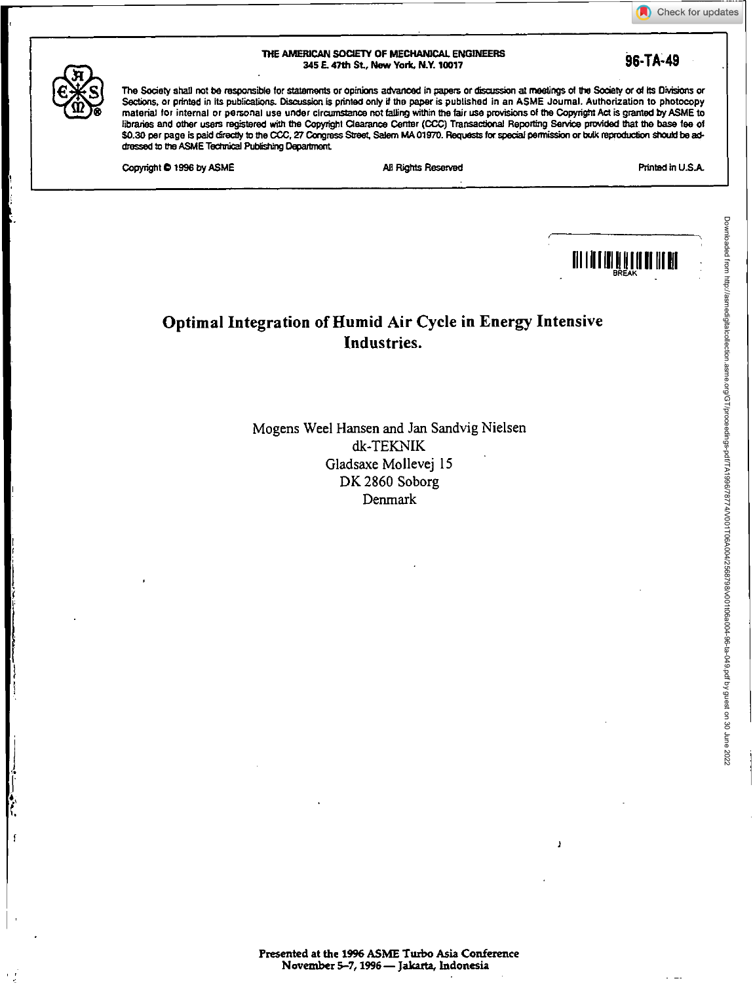| THE AMERICAN SOCIETY OF MECHANICAL ENGINEERS | 96-TA-49 |
|----------------------------------------------|----------|
| 345 E. 47th St., New York, N.Y. 10017        |          |

Check for updates



The Society shall not be responsible for statements or opinions advanced in papers or criscission at meetings of the Society or of its Divisions or Sections. or printed in its publications. Discussion is printed only if the paper is published in an ASME Journal. Authorization to photocopy material tor internal or personal use under circumstance not tailing within the fair use provisions of the Copyright Act is granted by ASME to libraries and other users registered with the Copyright Clearance Center (CCC) Transactional Reporting Service provided that the base fee of \$0.30 per page is paid threctly to the COG, 27 Congress Street, Salem MA 01970. Requests for special pemission or bulk reproduction should be addressed to the ASME Technical Publishing Depanment

Copyright © 1996 by ASME NI Rights Reserved All Rights Reserved All Rights Reserved Printed in U.S.A.



## **Optimal Integration of Humid Air Cycle in Energy Intensive Industries.**

Mogens Weel Hansen and Jan Sandvig Nielsen dk-TEKNIK Gladsaxe Mollevej 15 DK 2860 Soborg Denmark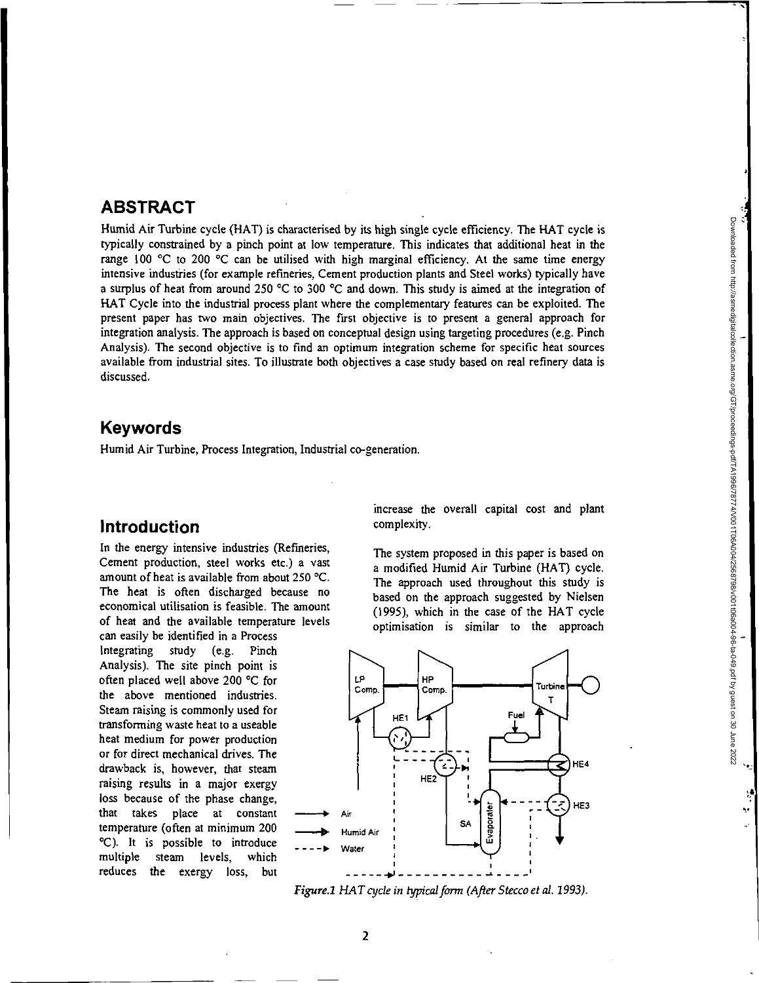#### **ABSTRACT**

Humid Air Turbine cycle (HAT) is characterised by its high single cycle efficiency. The HAT cycle is typically constrained by a pinch point at low temperature. This indicates that additional heat in the range  $100 \text{ °C}$  to 200  $\text{ °C}$  can be utilised with high marginal efficiency. At the same time energy intensive industries (for example refineries, Cement production plants and Steel works) typically have a surplus of heat from around 250 °C to 300 °C and down. This study is aimed at the integration of HAT Cycle into the industrial process plant where the complementary features can be exploited. The present paper has two main objectives. The first objective is to present a general approach for integration analysis. The approach is based on conceptual design using targeting procedures (e.g. Pinch Analysis). The second objective is to find an optimum integration scheme for specific heat sources available from industrial sites. To illustrate both objectives a case study based on real refinery data is discussed.

#### **Keywords**

Humid Air Turbine, Process Integration, Industrial co-generation.

#### **Introduction**

In the energy intensive industries (Refineries, Cement production, steel works etc.) a vast amount of heat is available from about 250 °C. The heat is often discharged because no economical utilisation is feasible. The amount of heat and the available temperature levels

can easily be identified in a Process Integrating study (e.g. Pinch Analysis). The site pinch point is often placed well above 200 °C for the above mentioned industries. Steam raising is commonly used for transforming waste heat to a useable heat medium for power production or for direct mechanical drives. The drawback is, however, that steam raising results in a major exergy loss because of the phase change, that takes place at constant temperature (often at minimum 200 °C). It is possible to introduce multiple steam levels, which reduces the exergy loss, but increase the overall capital cost and plant complexity.

The system proposed in this paper is based on a modified Humid Air Turbine (HAT) cycle. The approach used throughout this study is based on the approach suggested by Nielsen (1995), which in the case of the HAT cycle optimisation is similar to the approach



Figure.1 HAT cycle in typical form (After Stecco et al. 1993).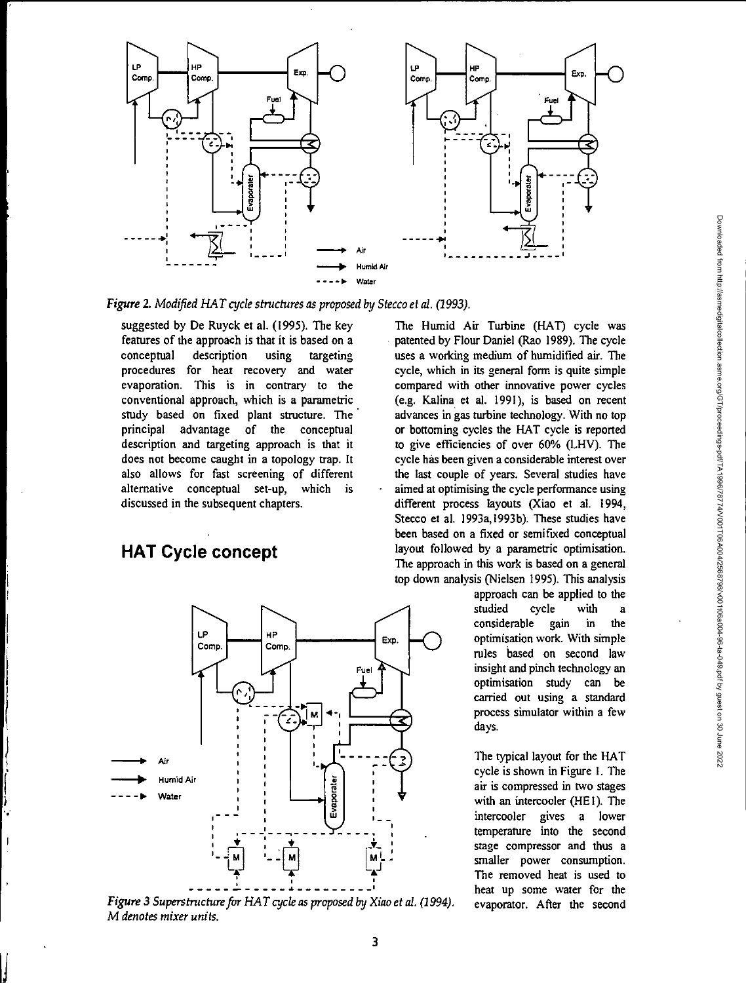

Figure 2. Modified HAT cycle structures as proposed by Stecco et al. (1993).

suggested by De Ruyck et al. (1995). The key features of the approach is that it is based on a conceptual description using targeting procedures for heat recovery and water evaporation. This is in contrary to the conventional approach, which is a parametric study based on fixed plant structure. The principal advantage of the conceptual description and targeting approach is that it does not become caught in a topology trap. It also allows for fast screening of different alternative conceptual set-up, which is discussed in the subsequent chapters.

# **HAT Cycle concept**

**L** 



*Figure 3 Superstructure for HAT cycle as proposed by Xiao et al. (1994). M denotes mixer units.* 

The Humid Air Turbine (HAT) cycle was patented by Flour Daniel (Rao 1989). The cycle uses a working medium of humidified air. The cycle, which in its general form is quite simple compared with other innovative power cycles (e.g. Kalina et al. 1991), is based on recent advances in gas turbine technology. With no top or bottoming cycles the HAT cycle is reported to give efficiencies of over 60% (LHV). The cycle has been given a considerable interest over the last couple of years. Several studies have aimed at optimising the cycle performance using different process layouts (Xiao et al. 1994, Stecco et al. 1993a,1993b). These studies have been based on a fixed or semifixed conceptual layout followed by a parametric optimisation. The approach in this work is based on a general top down analysis (Nielsen 1995). This analysis

approach can be applied to the studied cycle with a<br>considerable gain in the considerable gain in the optimisation work. With simple rules based on second law insight and pinch technology an optimisation study can be carried out using a standard process simulator within a few days.

The typical layout for the HAT cycle is shown in Figure I. The air is compressed in two stages with an intercooler (HE1). The intercooler gives a lower temperature into the second stage compressor and thus a smaller power consumption. The removed heat is used to heat up some water for the evaporator. After the second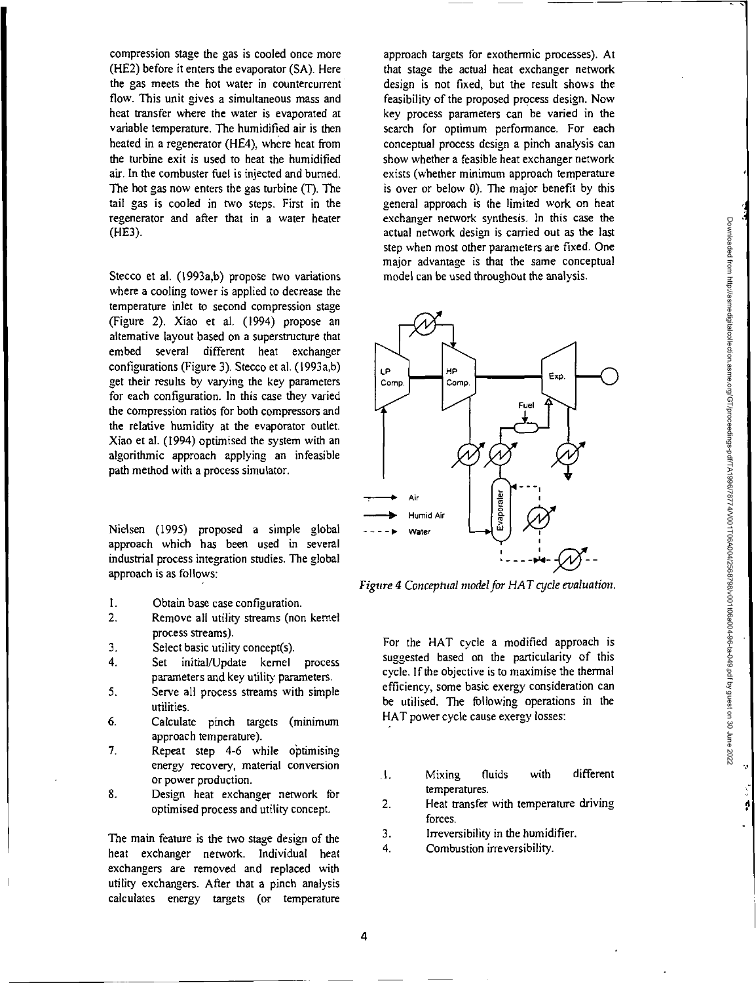compression stage the gas is cooled once more (HE2) before it enters the evaporator (SA). Here the gas meets the hot water in countercurrent flow. This unit gives a simultaneous mass and heat transfer where the water is evaporated at variable temperature. The humidified air is then heated in a regenerator (HE4), where heat from the turbine exit is used to heat the humidified air. In the combuster fuel is injected and burned. The hot gas now enters the gas turbine (T). The tail gas is cooled in two steps. First in the regenerator and after that in a water heater (HE3).

Stecco et al. (1993a,b) propose two variations where a cooling tower is applied to decrease the temperature inlet to second compression stage (Figure 2). Xiao et al. (1994) propose an alternative layout based on a superstructure that embed several different heat exchanger configurations (Figure 3). Stecco et al. (1993a,b) get their results by varying the key parameters for each configuration. In this *case* they varied the compression ratios for both compressors and the relative humidity at the evaporator outlet. Xiao et al. (1994) optimised the system with an algorithmic approach applying an infeasible path method with a process simulator.

Nielsen (1995) proposed a simple global approach which has been used in several industrial process integration studies. The global approach is as follows:

- I. Obtain base case configuration.
- 2. Remove all utility streams (non kernel process streams).
- 3. Select basic utility concept(s).
- 4. Set initial/Update kernel process parameters and key utility parameters.
- 5. Serve all process streams with simple utilities.
- 6. Calculate pinch targets (minimum approach temperature).
- 7. Repeat step 4-6 while optimising energy recovery, material conversion or power production.
- 8. Design heat exchanger network for optimised process and utility concept.

The main feature is the two stage design of the heat exchanger network. Individual heat exchangers are removed and replaced with utility exchangers. After that a pinch analysis calculates energy targets (or temperature approach targets for exothermic processes). At that stage the actual heat exchanger network design is not fixed, but the result shows the feasibility of the proposed process design. Now key process parameters can be varied in the search for optimum performance. For each conceptual process design a pinch analysis can show whether a feasible heat exchanger network exists (whether minimum approach temperature is over or below 0). The major benefit by this general approach is the limited work on heat exchanger network synthesis. In this case the actual network design is carried out as the last step when most other parameters are fixed. One major advantage is that the same conceptual model can be used throughout the analysis.



*Figure 4 Conceptual model for HAT cycle evaluation.* 

For the HAT cycle a modified approach is suggested based on the particularity of this cycle. If the objective is to maximise the thermal efficiency, some basic exergy consideration can be utilised. The following operations in the HAT power cycle cause exergy losses:

- I. Mixing fluids with different temperatures.
- 2. Heat transfer with temperature driving forces.
- 3. Irreversibility in the humidifier.
- 4. Combustion irreversibility.

Downloaded from http://asmedigitalcollection.asme.org/GT/proceedings-pdf/TA19867874/V011D6A042588798/v001f06a04-96-ta-049.pdf by guest on 30 June 2022 Downloaded from http://asmedigitalcollection.asme.org/GT/proceedings-pdf/TA1996/78774/V001T06A004/2568798/v001t06a004-96-ta-049.pdf by guest on 30 June 2022

¢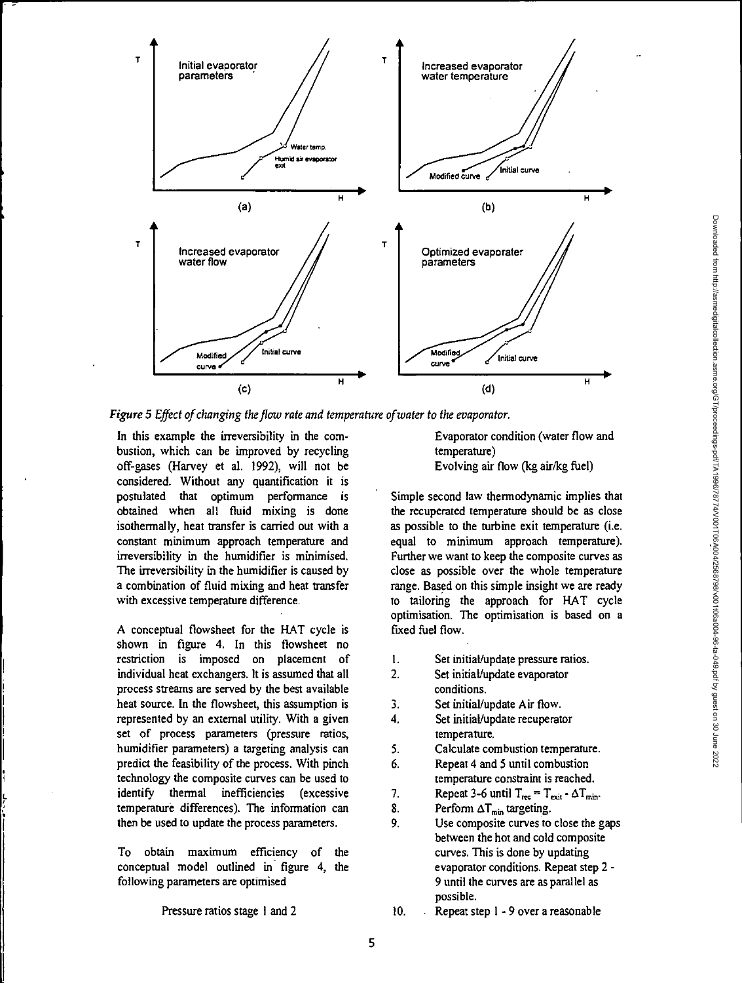

*Figure 5 Effect of changing the flow rate and temperature of water to the evaporator.* 

In this example the irreversibility in the combustion, which can be improved by recycling off-gases (Harvey et al. 1992), will not be considered. Without any quantification it is postulated that optimum performance is obtained when all fluid mixing is done isothermally, heat transfer is carried out with a constant minimum approach temperature and irreversibility in the humidifier is minimised. The irreversibility in the humidifier is caused by a combination of fluid mixing and heat transfer with excessive temperature difference.

A conceptual flowsheet for the HAT cycle is shown in figure 4. In this flowsheet no restriction is imposed on placement of individual heat exchangers. It is assumed that all process streams are served by the best available heat source. In the flowsheet, this assumption is represented by an external utility. With a given set of process parameters (pressure ratios, humidifier parameters) a targeting analysis can predict the feasibility of the process. With pinch technology the composite curves can be used to identify thermal inefficiencies (excessive temperature differences). The information can then be used to update the process parameters.

To obtain maximum efficiency of the conceptual model outlined in figure 4, the following parameters are optimised

Evaporator condition (water flow and temperature) Evolving air flow (kg air/kg fuel)

Simple second law thermodynamic implies that the recuperated temperature should be as close as possible to the turbine exit temperature (i.e. equal to minimum approach temperature). Further we want to keep the composite curves as close as possible over the whole temperature range. Based on this simple insight we are ready to tailoring the approach for HAT cycle optimisation. The optimisation is based on a fixed fuel flow.

- I. Set initial/update pressure ratios.
- 2. Set initial/update evaporator conditions.
- 3. Set initial/update Air flow.
- 4. Set initial/update recuperator temperature.
- 5. Calculate combustion temperature.
- 6. Repeat 4 and 5 until combustion temperature constraint is reached.
- 7. Repeat 3-6 until  $T_{rec} = T_{exit} \cdot \Delta T_{min}$ .<br>8. Perform  $\Delta T_{min}$  targeting.
- Perform  $\Delta T_{min}$  targeting.
- 9. Use composite curves to close the gaps between the hot and cold composite curves. This is done by updating evaporator conditions. Repeat step 2 - 9 until the curves are as parallel as possible.

Pressure ratios stage 1 and 2

10. . Repeat step 1 -9 over a reasonable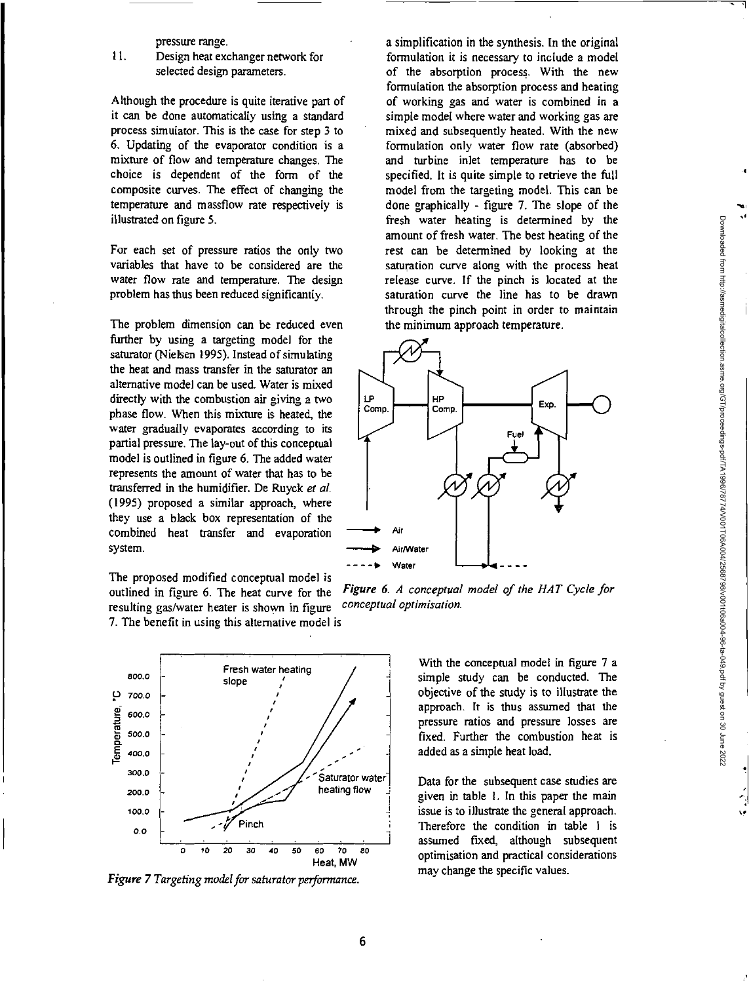pressure range.

#### II. Design heat exchanger network for selected design parameters.

Although the procedure is quite iterative part of it can be done automatically using a standard process simulator. This is the case for step 3 to 6. Updating of the evaporator condition is a mixture of flow and temperature changes. The choice is dependent of the form of the composite curves. The effect of changing the temperature and massflow rate respectively is illustrated on figure 5.

For each set of pressure ratios the only two variables that have to be considered are the water flow rate and temperature. The design problem has thus been reduced significantly.

The problem dimension can be reduced even further by using a targeting model for the saturator (Nielsen 1995). Instead of simulating the heat and mass transfer in the saturator an alternative model can be used. Water is mixed directly with the combustion air giving a two phase flow. When this mixture is heated, the water gradually evaporates according to its partial pressure. The lay-out of this conceptual model is outlined in figure 6. The added water represents the amount of water that has to be transferred in the humidifier. De Ruyck *et at*  (1995) proposed a similar approach, where they use a black box representation of the combined heat transfer and evaporation system.

The proposed modified conceptual model is resulting gas/water heater is shown in figure 7. The benefit in using this alternative model is



*Figure 7 Targeting model for saturator performance.* 

a simplification in the synthesis. In the original formulation it is necessary to include a model of the absorption process. With the new formulation the absorption process and heating of working gas and water is combined in a simple model where water and working gas are mixed and subsequently heated. With the new formulation only water flow rate (absorbed) and turbine inlet temperature has to be specified. It is quite simple to retrieve the full model from the targeting model. This can be done graphically - figure 7. The slope of the fresh water heating is determined by the amount of fresh water. The best heating of the rest can be determined by looking at the saturation curve along with the process heat release curve. If the pinch is located at the saturation curve the line has to be drawn through the pinch point in order to maintain the minimum approach temperature.



outlined in figure 6. The heat curve for the *Figure 6. A conceptual model of the HAT Cycle for* resulting gas/water heater is shown in figure *conceptual optimisation*.

With the conceptual model in figure 7 a simple study can be conducted. The objective of the study is to illustrate the approach. It is thus assumed that the pressure ratios and pressure losses are fixed. Further the combustion heat is added as a simple heat load.

Data for the subsequent case studies are given in table I. In this paper the main issue is to illustrate the general approach. Therefore the condition in table 1 is assumed fixed, although subsequent optimisation and practical considerations may change the specific values.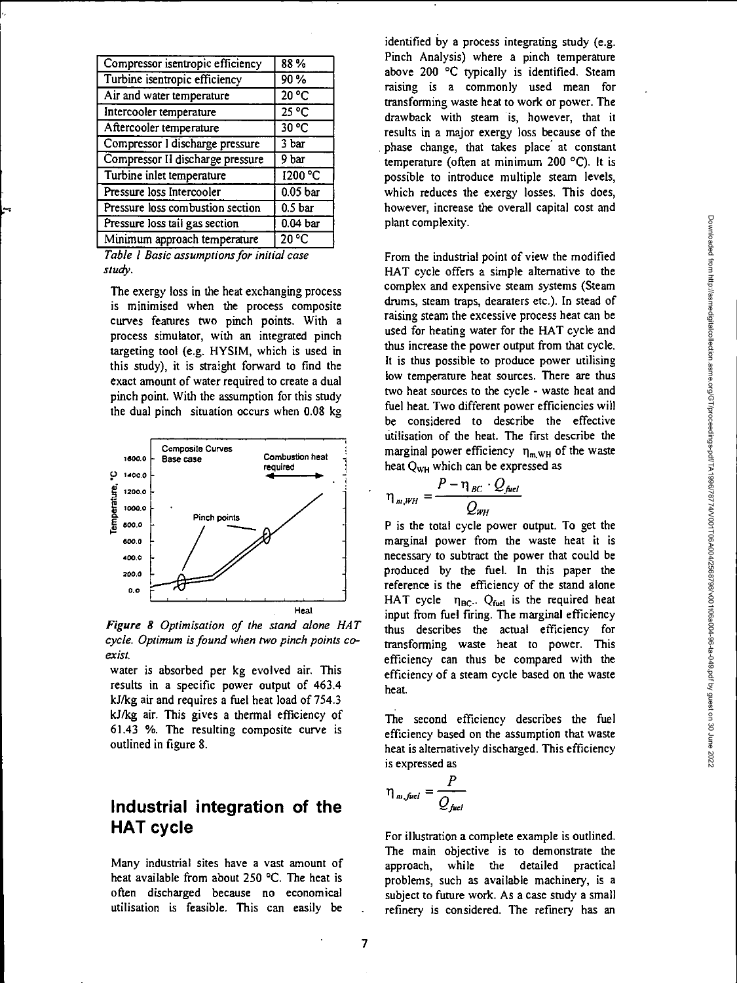| Compressor isentropic efficiency | 88%                               |
|----------------------------------|-----------------------------------|
| Turbine isentropic efficiency    | 90%                               |
| Air and water temperature        | 20 °C                             |
| Intercooler temperature          | $25\overline{{}^{\circ}\text{C}}$ |
| Aftercooler temperature          | 30 °C                             |
| Compressor I discharge pressure  | 3 bar                             |
| Compressor II discharge pressure | 9 bar                             |
| Turbine inlet temperature        | 1200 °C                           |
| Pressure loss Intercooler        | 0.05 <sub>bar</sub>               |
| Pressure loss combustion section | 0.5 <sub>bar</sub>                |
| Pressure loss tail gas section   | $\overline{0.04}$ bar             |
| Minimum approach temperature     | $20^{\circ}$ C                    |
|                                  |                                   |

*Table I Basic assumptions for initial case study.* 

The exergy loss in the heat exchanging process is minimised when the process composite curves features two pinch points. With a process simulator, with an integrated pinch targeting tool (e.g. HYSIM, which is used in this study), it is straight forward to find the exact amount of water required to create a dual pinch point. With the assumption for this study the dual pinch situation occurs when 0.08 kg



*Figure 8 Optimisation of the stand alone HAT cycle. Optimum is found when two pinch points coexist.* 

water is absorbed per kg evolved air. This results in a specific power output of 463.4 kJ/kg air and requires a fuel heat load of 754.3 kJ/kg air. This gives a thermal efficiency of 61.43 %. The resulting composite curve is outlined in figure 8.

#### **Industrial integration of the HAT cycle**

Many industrial sites have a vast amount of heat available from about 250 °C. The heat is often discharged because no economical utilisation is feasible. This can easily be

identified by a process integrating study (e.g. Pinch Analysis) where a pinch temperature above 200 °C typically is identified. Steam raising is a commonly used mean for transforming waste heat to work or power. The drawback with steam is, however, that it results in a major exergy loss because of the phase change, that takes place at constant temperature (often at minimum 200 °C). It is possible to introduce multiple steam levels, which reduces the exergy losses. This does, however, increase the overall capital cost and plant complexity.

From the industrial point of view the modified HAT cycle offers a simple alternative to the complex and expensive steam systems (Steam drums, steam traps, dearaters etc.). In stead of raising steam the excessive process heat can be used for heating water for the HAT cycle and thus increase the power output from that cycle. It is thus possible to produce power utilising low temperature heat sources. There are thus two heat sources to the cycle - waste heat and fuel heat. Two different power efficiencies will be considered to describe the effective utilisation of the heat. The first describe the marginal power efficiency  $\eta_{m, WH}$  of the waste heat  $Q_{WH}$  which can be expressed as

$$
\eta_{m,WH} = \frac{P - \eta_{BC} \cdot Q_{fuel}}{Q_{WH}}
$$

P is the total cycle power output. To get the marginal power from the waste heat it is necessary to subtract the power that could be produced by the fuel. In this paper the reference is the efficiency of the stand alone HAT cycle  $\eta_{BC}$ . Q<sub>fuel</sub> is the required heat input from fuel firing. The marginal efficiency thus describes the actual efficiency for transforming waste heat to power. This efficiency can thus be compared with the efficiency of a steam cycle based on the waste heat.

The second efficiency describes the fuel efficiency based on the assumption that waste heat is alternatively discharged. This efficiency is expressed as

$$
\eta_{m, fuel} = \frac{P}{Q_{fuel}}
$$

For illustration a complete example is outlined. The main objective is to demonstrate the approach, while the detailed practical problems, such as available machinery, is a subject to future work. As a case study a small refinery is considered. The refinery has an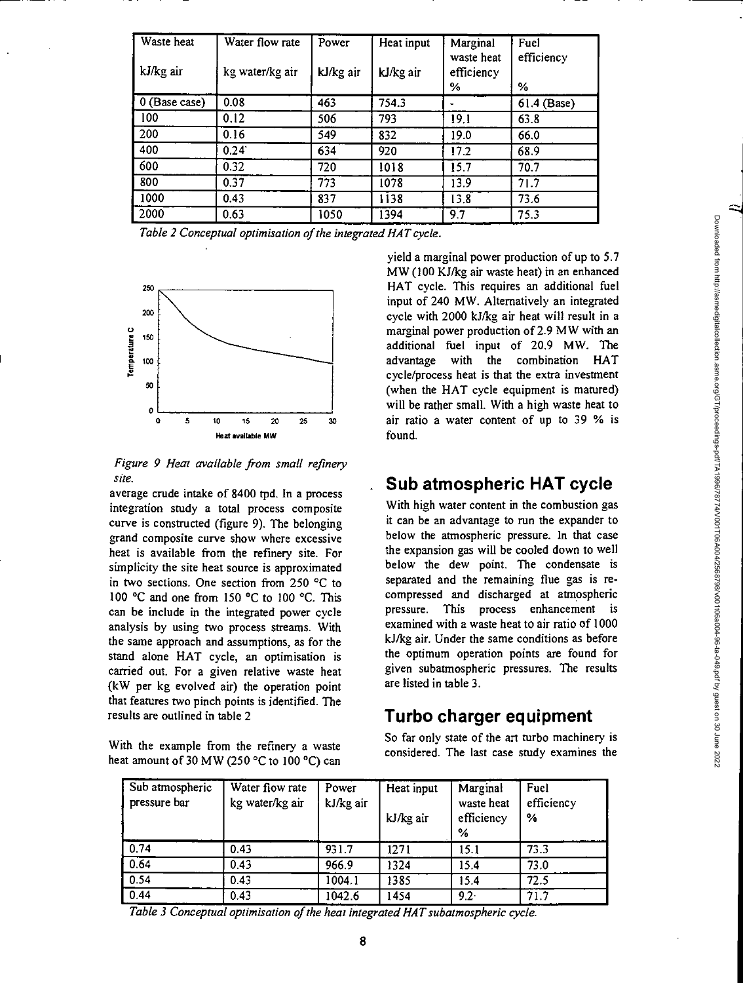| Waste heat<br>kJ/kg air | Water flow rate | Power     | Heat input | Marginal<br>waste heat | Fuel<br>efficiency |
|-------------------------|-----------------|-----------|------------|------------------------|--------------------|
|                         | kg water/kg air | kJ/kg air | kJ/kg air  | efficiency<br>℅        | %                  |
| 0 (Base case)           | 0.08            | 463       | 754.3      |                        | $61.4$ (Base)      |
| 100                     | 0.12            | 506       | 793        | 19.1                   | 63.8               |
| 200                     | 0.16            | 549       | 832        | 19.0                   | 66.0               |
| 400                     | $0.24^{\circ}$  | 634       | 920        | 17.2                   | 68.9               |
| 600                     | 0.32            | 720       | 1018       | 15.7                   | 70.7               |
| 800                     | 0.37            | 773       | 1078       | 13.9                   | 71.7               |
| 1000                    | 0.43            | 837       | 1138       | 13.8                   | 73.6               |
| 2000                    | 0.63            | 1050      | 1394       | 9.7                    | 75.3               |

*Table 2 Conceptual optimisation of the integrated HAT cycle.* 



*Figure 9 Heat available from small refinery site.* 

average crude intake of 8400 tpd. In a process integration study a total process composite curve is constructed (figure 9). The belonging grand composite curve show where excessive heat is available from the refinery site. For simplicity the site heat source is approximated in two sections. One section from 250 °C to 100 °C and one from 150 °C to 100 °C. This can be include in the integrated power cycle analysis by using two process streams. With the same approach and assumptions, as for the stand alone HAT cycle, an optimisation is carried out. For a given relative waste heat (kW per kg evolved air) the operation point that features two pinch points is identified. The results are outlined in table 2

With the example from the refinery a waste heat amount of 30 MW (250°C to 100 °C) can

yield a marginal power production of up to 5.7 MW (100 KJ/kg air waste heat) in an enhanced 250 - This requires an additional fuel input of 240 MW. Alternatively an integrated  $200 \frac{1}{200}$  cycle with 2000 kJ/kg air heat will result in a marginal power production of 2.9 MW with an additional fuel input of 20.9 MW. The loo advantage with the combination HAT cycle/process heat is that the extra investment (when the HAT cycle equipment is matured) will be rather small. With a high waste heat to air ratio a water content of up to 39 % is

## **Sub atmospheric HAT cycle**

With high water content in the combustion gas it can be an advantage to run the expander to below the atmospheric pressure. In that case the expansion gas will be cooled down to well below the dew point. The condensate is separated and the remaining flue gas is recompressed and discharged at atmospheric pressure. This process enhancement is examined with a waste heat to air ratio of 1000 kJ/kg air. Under the same conditions as before the optimum operation points are found for given subatmospheric pressures. The results are listed in table 3.

# **Turbo charger equipment**

So far only state of the art turbo machinery is considered. The last case study examines the

| Sub atmospheric<br>pressure bar | Water flow rate<br>kg water/kg air | Power<br>kJ/kg air | Heat input<br>kJ/kg air | Marginal<br>waste heat<br>efficiency<br>% | Fuel<br>efficiency<br>% |
|---------------------------------|------------------------------------|--------------------|-------------------------|-------------------------------------------|-------------------------|
| 0.74                            | 0.43                               | 931.7              | 1271                    | 15.1                                      | 73.3                    |
| 0.64                            | 0.43                               | 966.9              | 1324                    | 15.4                                      | 73.0                    |
| 0.54                            | 0.43                               | 1004.1             | 1385                    | 15.4                                      | 72.5                    |
| 0.44                            | 0.43                               | 1042.6             | 1454                    | $9.2 -$                                   | 71.7                    |

*Table 3 Conceptual optimisation of the heat integrated HAT subatmospheric cycle.*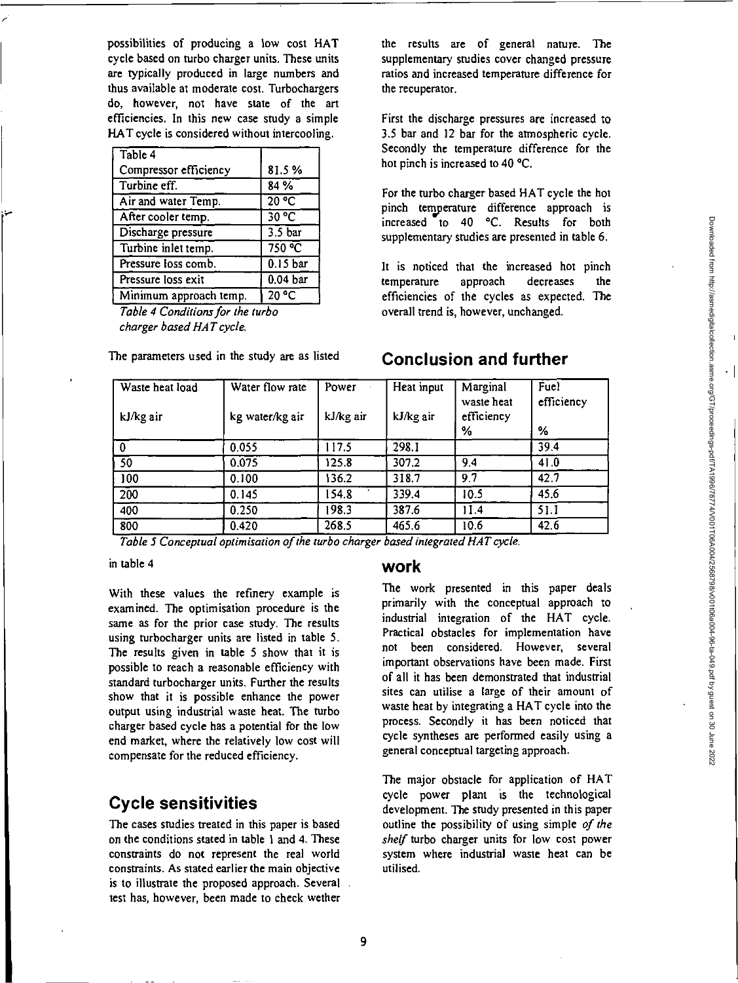possibilities of producing a low cost HAT cycle based on turbo charger units. These units are typically produced in large numbers and thus available at moderate cost. Turbochargers do, however, not have state of the art efficiencies. In this new case study a simple HAT cycle is considered without intercooling.

| Table 4                |                     |
|------------------------|---------------------|
| Compressor efficiency  | 81.5%               |
| Turbine eff.           | 84 %                |
| Air and water Temp.    | 20 °C               |
| After cooler temp.     | 30 °C               |
| Discharge pressure     | 3.5 <sub>bar</sub>  |
| Turbine inlet temp.    | 750 °C              |
| Pressure loss comb.    | 0.15 bar            |
| Pressure loss exit     | 0.04 <sub>bar</sub> |
| Minimum approach temp. | °C<br>20.           |

Table 4 Conditions for the turbo charger based HAT cycle.

The parameters used in the study are as listed

the results are of general nature. The supplementary studies cover changed pressure ratios and increased temperature difference for the recuperator.

First the discharge pressures are increased to 3.5 bar and 12 bar for the atmospheric cycle. Secondly the temperature difference for the hot pinch is increased to 40 °C.

For the turbo charger based HAT cycle the hot pinch temperature difference approach is increased to 40 °C. Results for both supplementary studies are presented in table 6.

It is noticed that the increased hot pinch temperature approach decreases the efficiencies of the cycles as expected. The overall trend is, however, unchanged.

**Conclusion and further** 

#### Waste heat load kJ/kg air Water flow rate kg water/kg air Power kJ/kg air Heat input kJ/kg air Marginal waste heat efficiency Fuel efficiency % % 0 0.055 117.5 298.1 39.4 50 0.075 125.8 307.2 9.4 4L0 100 0.100 136.2 318.7 9.7 42.7 200 0.145 154.8 ' 339.4 10.5 45.6 400 0.250 198.3 387.6 11.4 51.1 800 0.420 268.5 465.6 10.6 42.6

Table 5 Conceptual optimisation of the turbo charger based integrated HAT cycle.

in table 4

With these values the refinery example is examined. The optimisation procedure is the same as for the prior case study. The results using turbocharger units are listed in table 5. The results given in table 5 show that it is possible to reach a reasonable efficiency with standard turbocharger units. Further the results show that it is possible enhance the power output using industrial waste heat. The turbo charger based cycle has a potential for the low end market, where the relatively low cost will compensate for the reduced efficiency.

#### **Cycle sensitivities**

The cases studies treated in this paper is based on the conditions stated in table 1 and 4. These constraints do not represent the real world constraints. As stated earlier the main objective is to illustrate the proposed approach. Several . test has, however, been made to check wether

#### **work**

The work presented in this paper deals primarily with the conceptual approach to industrial integration of the HAT cycle. Practical obstacles for implementation have not been considered. However, several important observations have been made. First of all it has been demonstrated that industrial sites can utilise a large of their amount of waste heat by integrating a HAT cycle into the process. Secondly it has been noticed that cycle syntheses are performed easily using a general conceptual targeting approach.

The major obstacle for application of HAT cycle power plant is the technological development. The study presented in this paper outline the possibility of using simple of the shelf turbo charger units for low cost power system where industrial waste heat can be utilised.